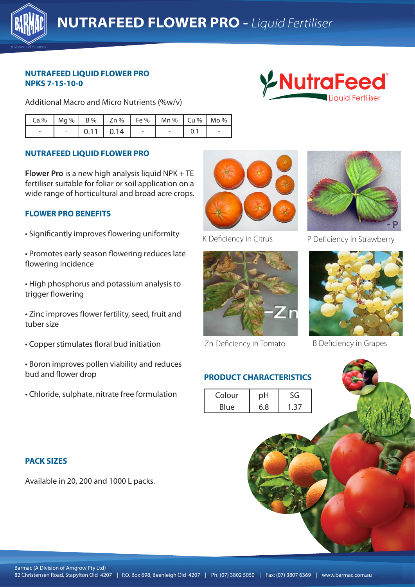

### **NUTRAFEED LIQUID FLOWER PRO NPKS 7-15-10-0**

Additional Macro and Micro Nutrients (%w/v)



| Ca%   Mg%   B%   Zn%   Fe%   Mn%   Cu%   Mo% |  |                       |            |  |
|----------------------------------------------|--|-----------------------|------------|--|
| $\overline{\phantom{a}}$                     |  | $-$ 0.11 0.14 $\vert$ | $\sim$ $-$ |  |

### **NUTRAFEED LIQUID FLOWER PRO**

**Flower Pro** is a new high analysis liquid NPK + TE fertiliser suitable for foliar or soil application on a wide range of horticultural and broad acre crops.

### **FLOWER PRO BENEFITS**

- Significantly improves flowering uniformity
- Promotes early season flowering reduces late flowering incidence
- High phosphorus and potassium analysis to **Analysis is a common analysis to** trigger flowering
	- Zinc improves flower fertility, seed, fruit and tuber size
	- Copper stimulates floral bud initiation
	- Boron improves pollen viability and reduces bud and flower drop
	- Chloride, sulphate, nitrate free formulation





Zn Deficiency in Tomato

## **PRODUCT CHARACTERISTICS**

| Colour |     |     |  |
|--------|-----|-----|--|
| Blue   | 6.8 | -27 |  |



K Deficiency in Citrus P Deficiency in Strawberry



B Deficiency in Grapes

# **PACK SIZES**

Available in 20, 200 and 1000 L packs.